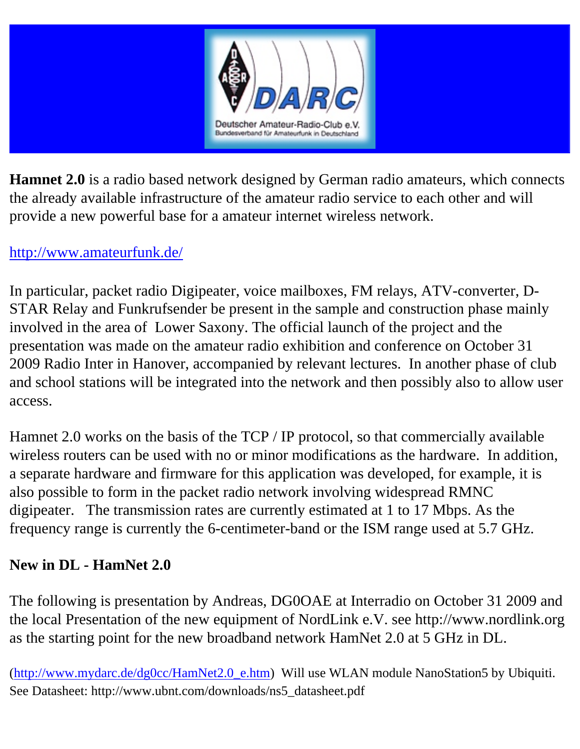

**Hamnet 2.0** is a radio based network designed by German radio amateurs, which connects the already available infrastructure of the amateur radio service to each other and will provide a new powerful base for a amateur internet wireless network.

#### <http://www.amateurfunk.de/>

In particular, packet radio Digipeater, voice mailboxes, FM relays, ATV-converter, D-STAR Relay and Funkrufsender be present in the sample and construction phase mainly involved in the area of Lower Saxony. The official launch of the project and the presentation was made on the amateur radio exhibition and conference on October 31 2009 Radio Inter in Hanover, accompanied by relevant lectures. In another phase of club and school stations will be integrated into the network and then possibly also to allow user access.

Hamnet 2.0 works on the basis of the TCP / IP protocol, so that commercially available wireless routers can be used with no or minor modifications as the hardware. In addition, a separate hardware and firmware for this application was developed, for example, it is also possible to form in the packet radio network involving widespread RMNC digipeater. The transmission rates are currently estimated at 1 to 17 Mbps. As the frequency range is currently the 6-centimeter-band or the ISM range used at 5.7 GHz.

#### **New in DL - HamNet 2.0**

The following is presentation by Andreas, DG0OAE at Interradio on October 31 2009 and the local Presentation of the new equipment of NordLink e.V. see http://www.nordlink.org as the starting point for the new broadband network HamNet 2.0 at 5 GHz in DL.

([http://www.mydarc.de/dg0cc/HamNet2.0\\_e.htm](http://www.mydarc.de/dg0cc/HamNet2.0_e.htm)) Will use WLAN module NanoStation5 by Ubiquiti. See Datasheet: http://www.ubnt.com/downloads/ns5\_datasheet.pdf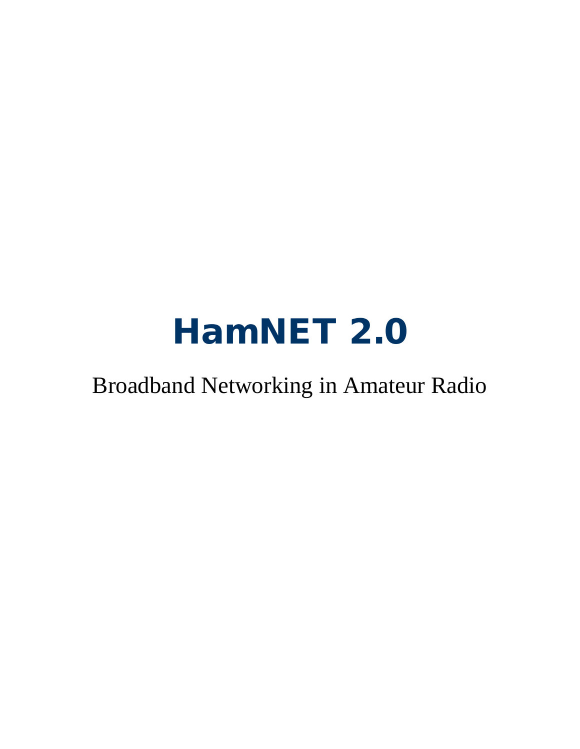# HamNET 2.0

#### Broadband Networking in Amateur Radio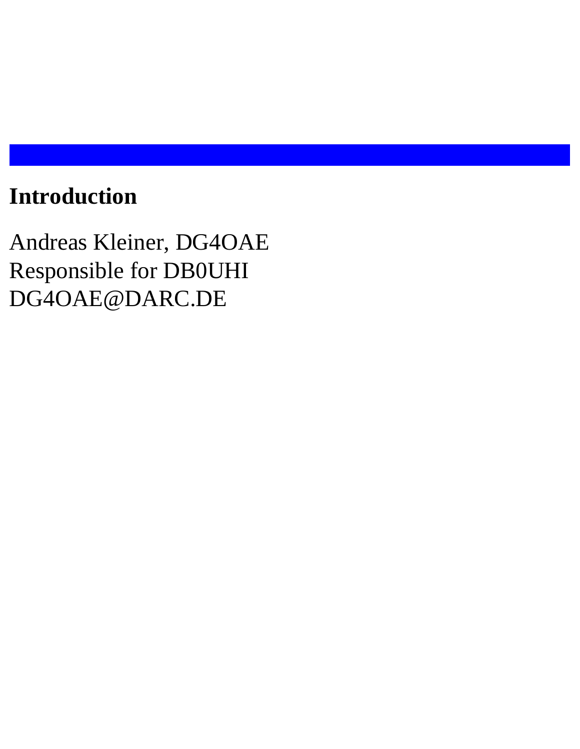#### **Introduction**

Andreas Kleiner, DG4OAE Responsible for DB0UHI DG4OAE@DARC.DE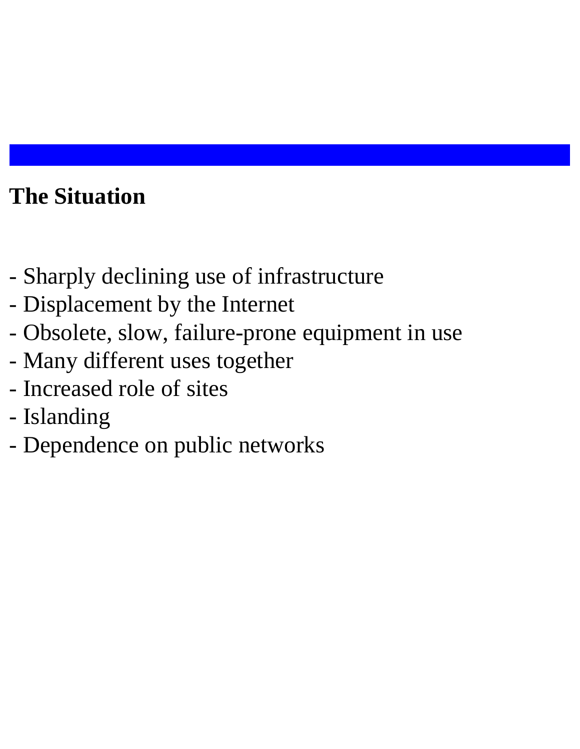## **The Situation**

- Sharply declining use of infrastructure
- Displacement by the Internet
- Obsolete, slow, failure-prone equipment in use
- Many different uses together
- Increased role of sites
- Islanding
- Dependence on public networks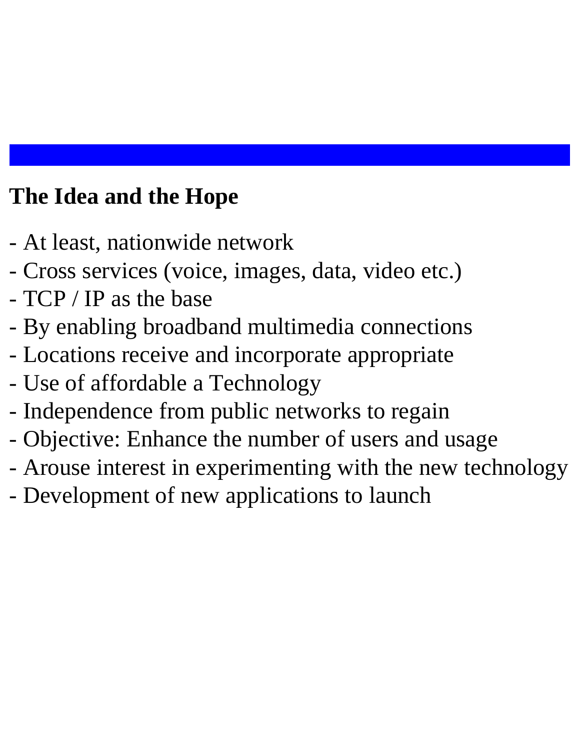#### **The Idea and the Hope**

- At least, nationwide network
- Cross services (voice, images, data, video etc.)
- TCP / IP as the base
- By enabling broadband multimedia connections
- Locations receive and incorporate appropriate
- Use of affordable a Technology
- Independence from public networks to regain
- Objective: Enhance the number of users and usage
- Arouse interest in experimenting with the new technology
- Development of new applications to launch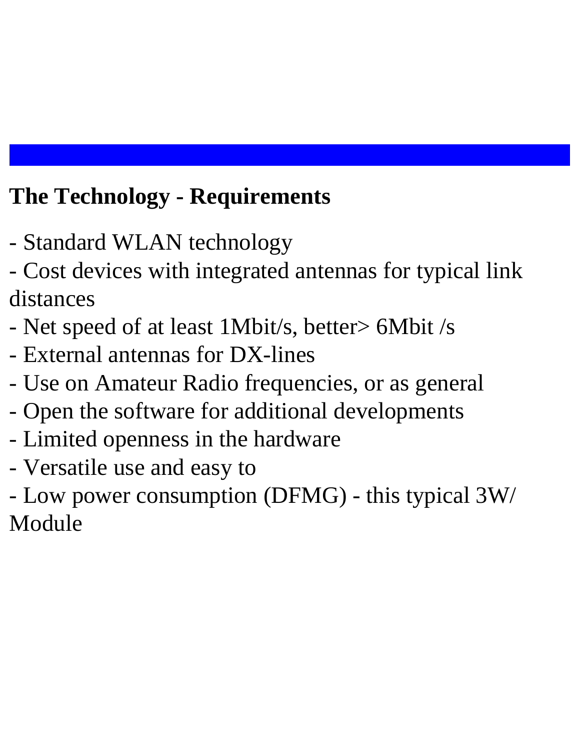## **The Technology - Requirements**

- Standard WLAN technology
- Cost devices with integrated antennas for typical link distances
- Net speed of at least 1Mbit/s, better> 6Mbit /s
- External antennas for DX-lines
- Use on Amateur Radio frequencies, or as general
- Open the software for additional developments
- Limited openness in the hardware
- Versatile use and easy to
- Low power consumption (DFMG) this typical 3W/ Module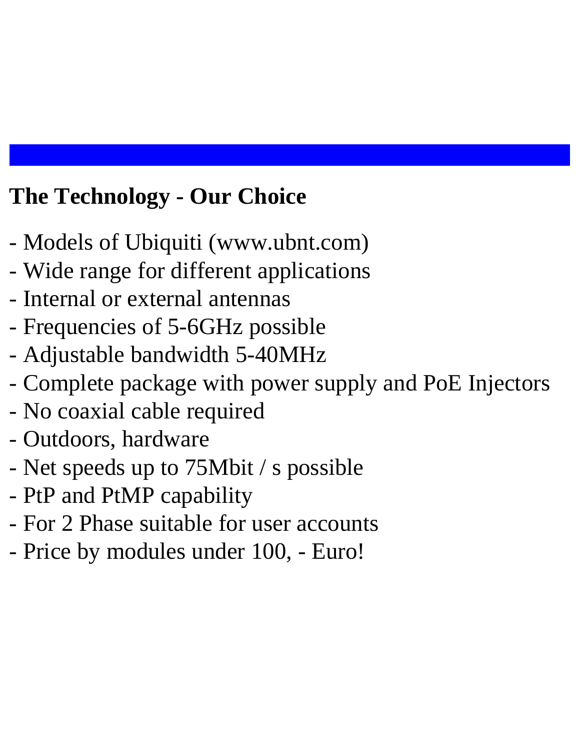#### **The Technology - Our Choice**

- Models of Ubiquiti (www.ubnt.com)
- Wide range for different applications
- Internal or external antennas
- Frequencies of 5-6GHz possible
- Adjustable bandwidth 5-40MHz
- Complete package with power supply and PoE Injectors
- No coaxial cable required
- Outdoors, hardware
- Net speeds up to 75Mbit / s possible
- PtP and PtMP capability
- For 2 Phase suitable for user accounts
- Price by modules under 100, Euro!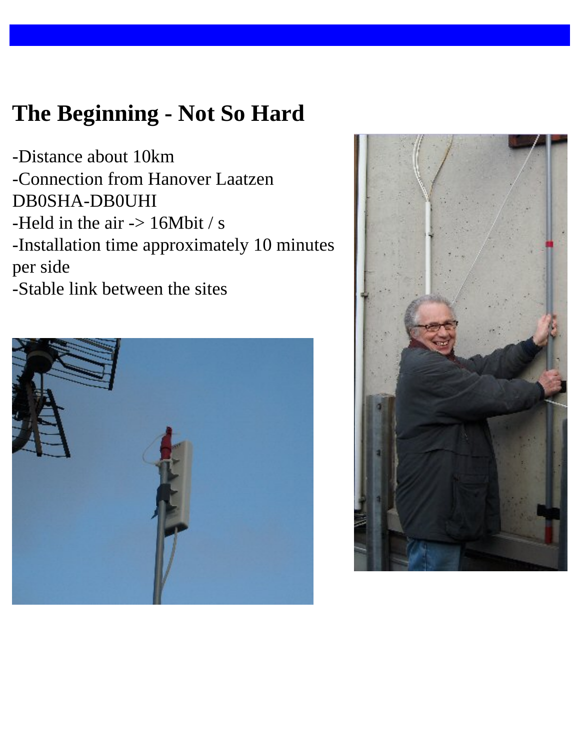#### **The Beginning - Not So Hard**

-Distance about 10km -Connection from Hanover Laatzen DB0SHA-DB0UHI -Held in the air  $\rightarrow$  16Mbit / s -Installation time approximately 10 minutes per side -Stable link between the sites



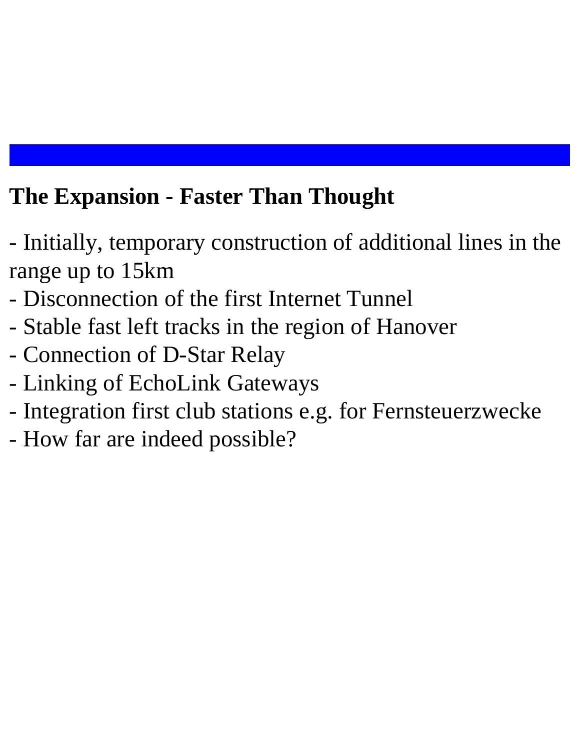#### **The Expansion - Faster Than Thought**

- Initially, temporary construction of additional lines in the range up to 15km
- Disconnection of the first Internet Tunnel
- Stable fast left tracks in the region of Hanover
- Connection of D-Star Relay
- Linking of EchoLink Gateways
- Integration first club stations e.g. for Fernsteuerzwecke
- How far are indeed possible?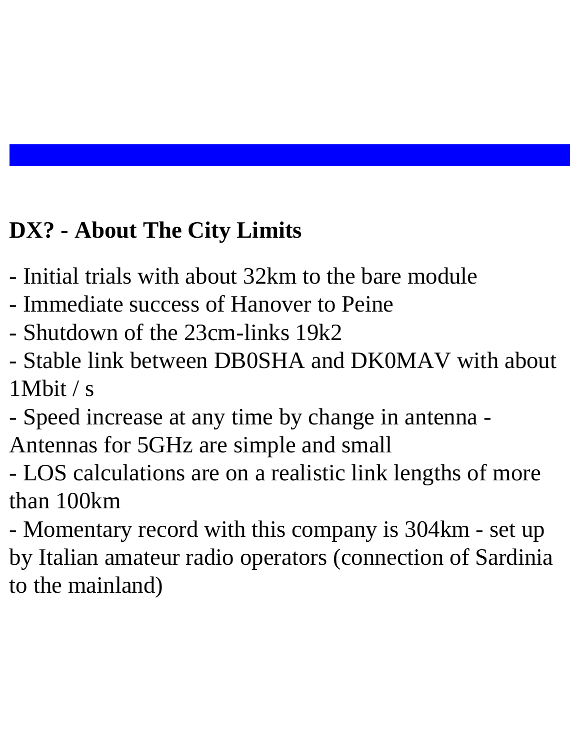# **DX? - About The City Limits**

- Initial trials with about 32km to the bare module
- Immediate success of Hanover to Peine
- Shutdown of the 23cm-links 19k2
- Stable link between DB0SHA and DK0MAV with about 1Mbit / s
- Speed increase at any time by change in antenna Antennas for 5GHz are simple and small
- LOS calculations are on a realistic link lengths of more than 100km
- Momentary record with this company is 304km set up by Italian amateur radio operators (connection of Sardinia to the mainland)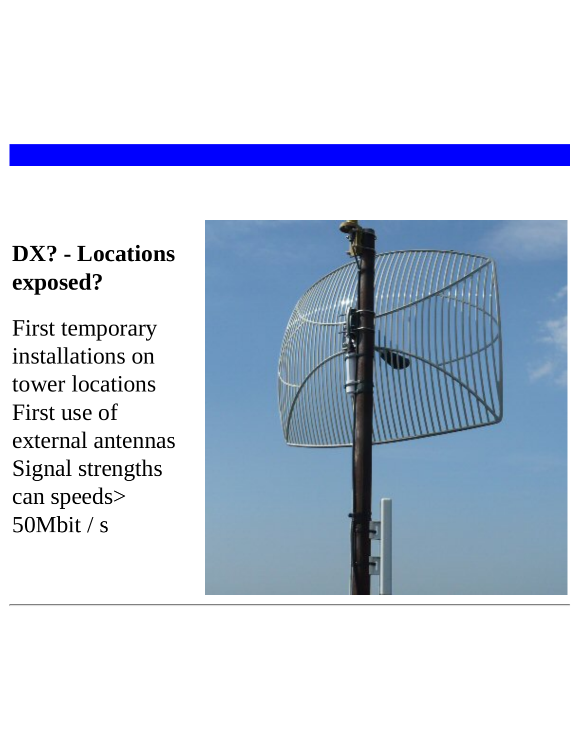## **DX? - Locations exposed?**

First temporary installations on tower locations First use of external antennas Signal strengths can speeds> 50Mbit / s

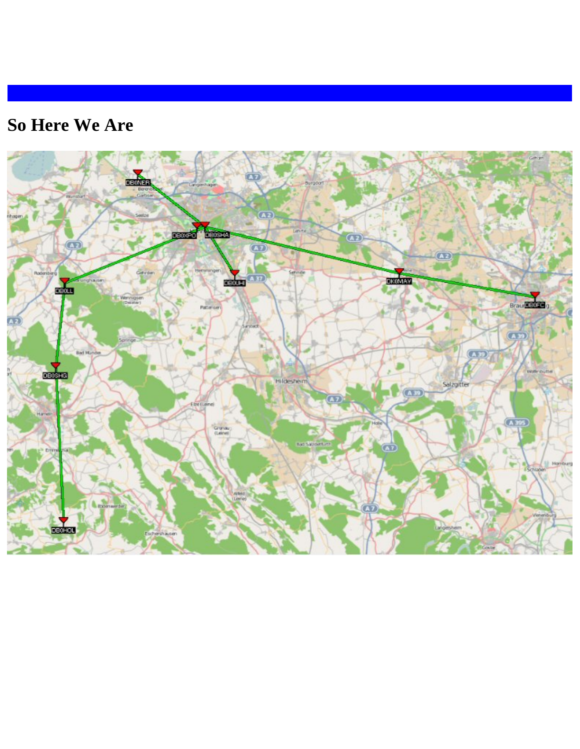#### **So Here We Are**

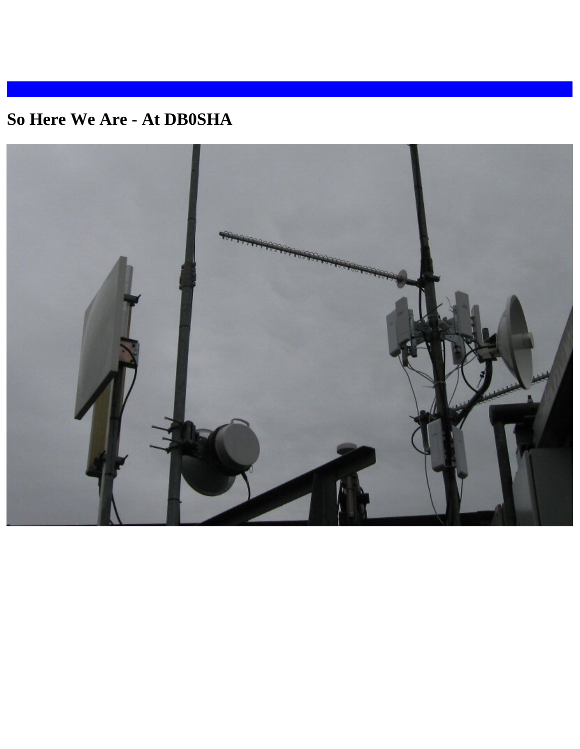#### **So Here We Are - At DB0SHA**

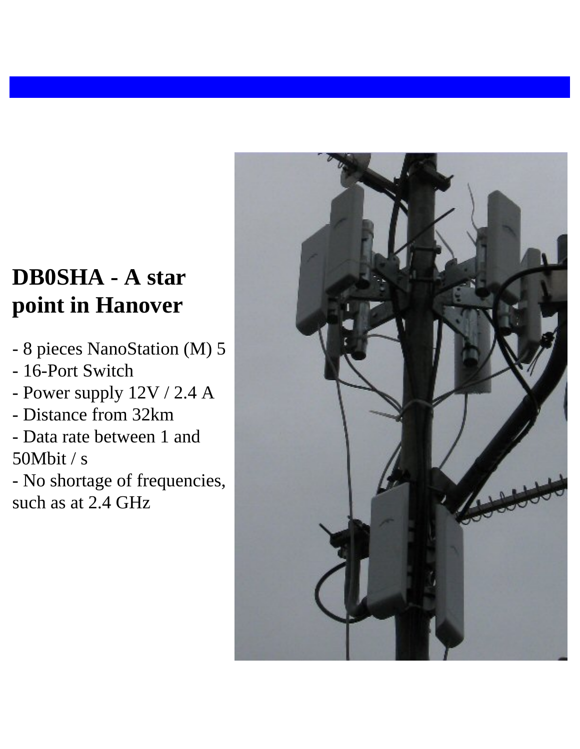### **DB0SHA - A star point in Hanover**

- 8 pieces NanoStation (M) 5
- 16-Port Switch
- Power supply 12V / 2.4 A
- Distance from 32km
- Data rate between 1 and 50Mbit / s

- No shortage of frequencies, such as at 2.4 GHz

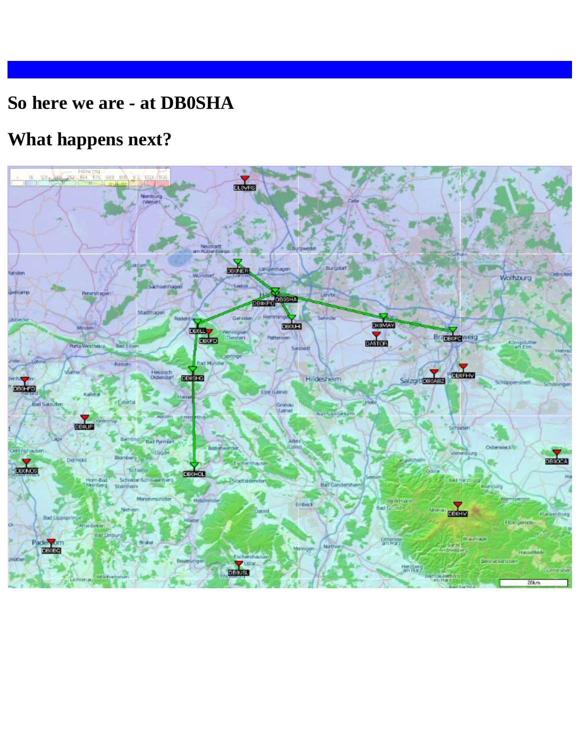#### **So here we are - at DB0SHA**

#### **What happens next?**